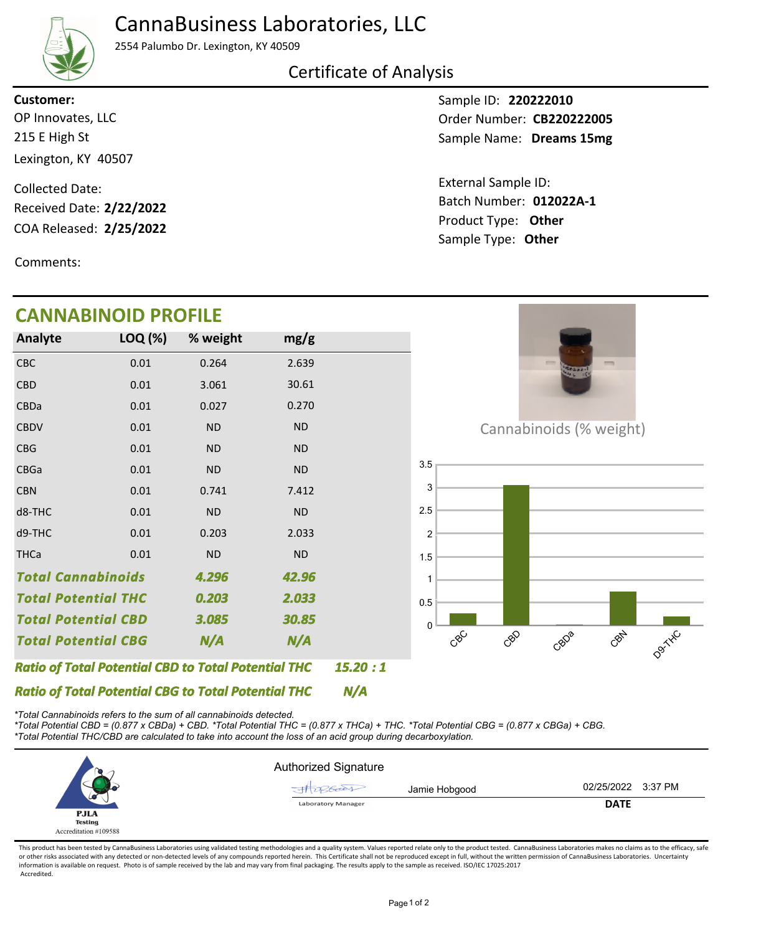## CannaBusiness Laboratories, LLC



2554 Palumbo Dr. Lexington, KY 40509

### Certificate of Analysis

**Customer:**

215 E High St Lexington, KY 40507 OP Innovates, LLC

COA Released: Collected Date: Received Date: **2/22/2022**

Comments:

# **CANNABINOID PROFILE**

Sample ID: **220222010** Sample Name: Dreams 15mg Order Number: CB220222005

Product Type: **Other 2/25/2022 012022A-1** Batch Number: External Sample ID: Sample Type: **Other**



*\*Total Cannabinoids refers to the sum of all cannabinoids detected.*

*\*Total Potential CBD = (0.877 x CBDa) + CBD. \*Total Potential THC = (0.877 x THCa) + THC. \*Total Potential CBG = (0.877 x CBGa) + CBG. \*Total Potential THC/CBD are calculated to take into account the loss of an acid group during decarboxylation.*



This product has been tested by CannaBusiness Laboratories using validated testing methodologies and a quality system. Values reported relate only to the product tested. CannaBusiness Laboratories makes no claims as to the or other risks associated with any detected or non-detected levels of any compounds reported herein. This Certificate shall not be reproduced except in full, without the written permission of CannaBusiness Laboratories. Un information is available on request. Photo is of sample received by the lab and may vary from final packaging. The results apply to the sample as received. ISO/IEC 17025:2017 Accredited.